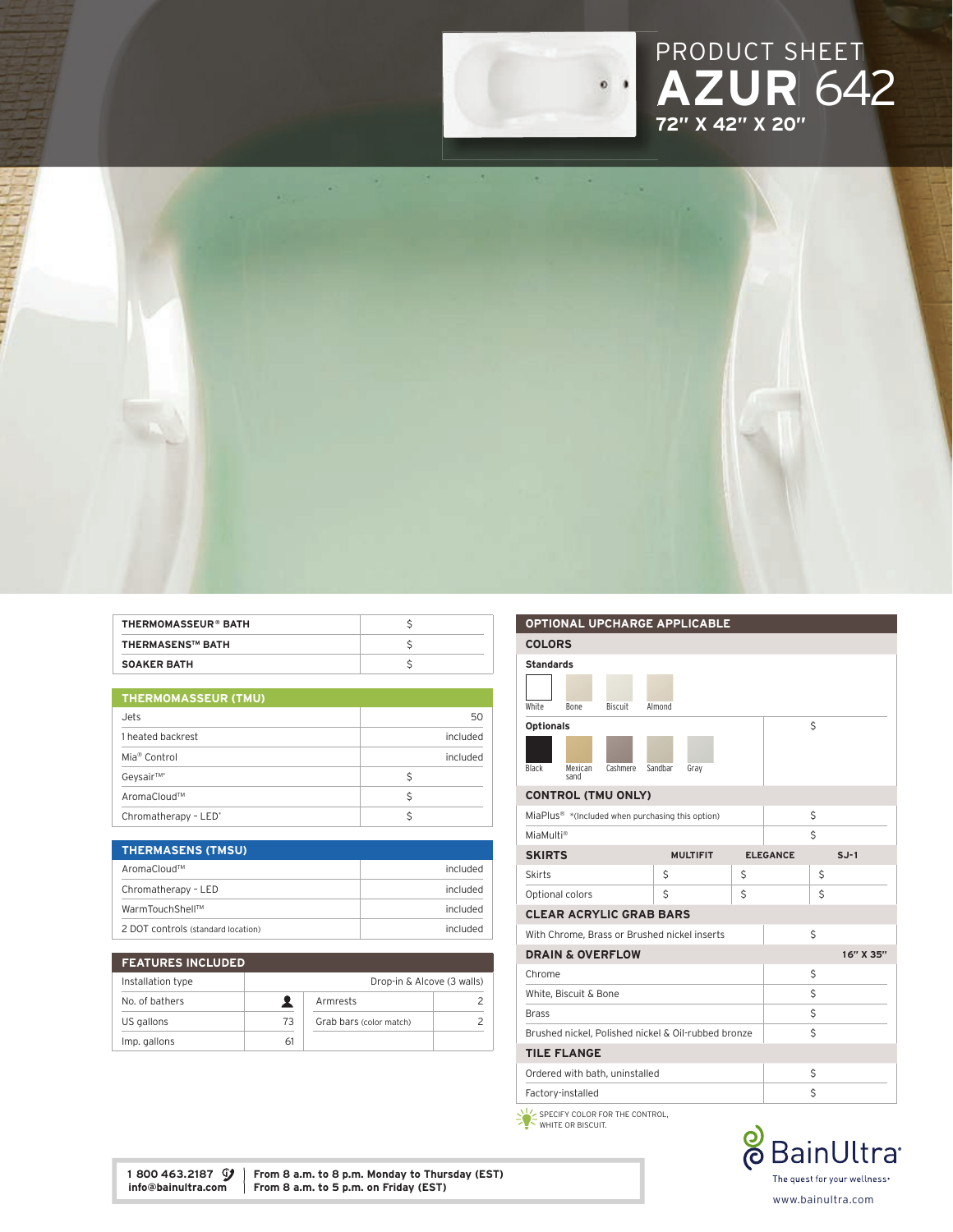





| THERMOMASSEUR® BATH     |  |
|-------------------------|--|
| <b>THERMASENS™ BATH</b> |  |
| <b>SOAKER BATH</b>      |  |

|  |  |  | <b>THERMOMASSEUR (TMU)</b> |  |
|--|--|--|----------------------------|--|
|--|--|--|----------------------------|--|

| Jets                             | 50       |  |
|----------------------------------|----------|--|
| 1 heated backrest                | included |  |
| Mia <sup>®</sup> Control         | included |  |
| Geysair™*                        | Ś        |  |
| AromaCloud™                      |          |  |
| Chromatherapy - LED <sup>*</sup> |          |  |

| <b>THERMASENS (TMSU)</b>           |                 |
|------------------------------------|-----------------|
| AromaCloud™                        | included        |
| Chromatherapy - LED                | included        |
| WarmTouchShell™                    | included        |
| 2 DOT controls (standard location) | <b>Included</b> |

| <b>FEATURES INCLUDED</b> |    |                            |  |
|--------------------------|----|----------------------------|--|
| Installation type        |    | Drop-in & Alcove (3 walls) |  |
| No. of bathers           |    | Armrests                   |  |
| US gallons               | 73 | Grab bars (color match)    |  |
| Imp. gallons             | 61 |                            |  |

| <b>OPTIONAL UPCHARGE APPLICABLE</b>                          |                                |    |                 |           |
|--------------------------------------------------------------|--------------------------------|----|-----------------|-----------|
| <b>COLORS</b>                                                |                                |    |                 |           |
| <b>Standards</b>                                             |                                |    |                 |           |
|                                                              |                                |    |                 |           |
| White<br><b>Biscuit</b><br><b>Bone</b>                       | Almond                         |    |                 |           |
| <b>Optionals</b>                                             |                                |    | Ś               |           |
|                                                              |                                |    |                 |           |
|                                                              |                                |    |                 |           |
| Black<br>Cashmere<br>Mexican<br>sand                         | Sandbar<br>Grav                |    |                 |           |
| <b>CONTROL (TMU ONLY)</b>                                    |                                |    |                 |           |
| MiaPlus <sup>®</sup> *(Included when purchasing this option) |                                |    | \$              |           |
| MiaMulti®                                                    |                                |    | \$              |           |
| <b>SKIRTS</b>                                                | <b>MULTIFIT</b>                |    | <b>ELEGANCE</b> | $S.J-1$   |
| <b>Skirts</b>                                                | Ś                              | Ś  |                 | Ś         |
| Optional colors                                              | Ś                              | \$ |                 | Ś         |
|                                                              | <b>CLEAR ACRYLIC GRAB BARS</b> |    |                 |           |
| With Chrome, Brass or Brushed nickel inserts                 |                                |    | Ś               |           |
| <b>DRAIN &amp; OVERFLOW</b>                                  |                                |    |                 | 16" X 35" |
| Chrome                                                       |                                |    | Ś               |           |
| White, Biscuit & Bone                                        |                                |    | \$              |           |
| <b>Brass</b>                                                 |                                | \$ |                 |           |
| Brushed nickel, Polished nickel & Oil-rubbed bronze          |                                |    | Ś               |           |
| <b>TILE FLANGE</b>                                           |                                |    |                 |           |
| Ordered with bath, uninstalled                               |                                |    | \$              |           |
| Factory-installed                                            |                                |    | \$              |           |
| $x + x$                                                      |                                |    |                 |           |

SPECIFY COLOR FOR THE CONTROL, WHITE OR BISCUIT.



1 800 463.2187  $\mathcal{G}$  | From 8 a.m. to 8 p.m. Monday to Thursday (EST) info@bainultra.com | From 8 a.m. to 5 p.m. on Friday (EST) From 8 a.m. to 5 p.m. on Friday (EST)